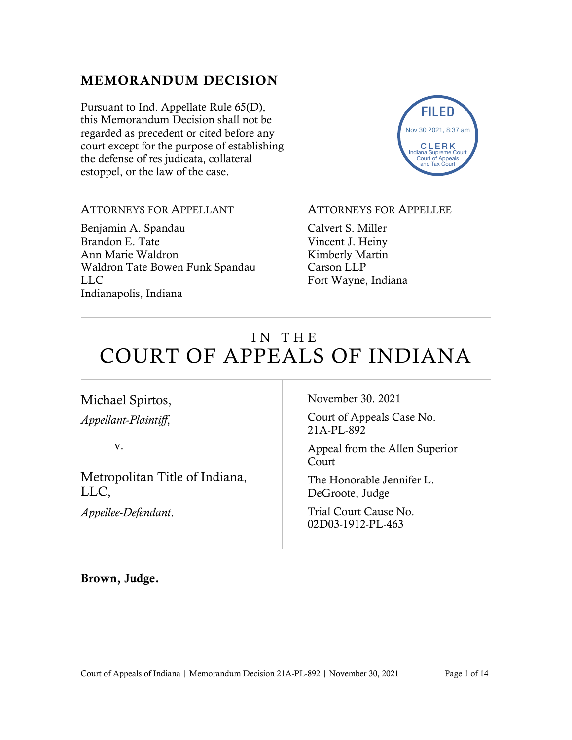# MEMORANDUM DECISION

Pursuant to Ind. Appellate Rule 65(D), this Memorandum Decision shall not be regarded as precedent or cited before any court except for the purpose of establishing the defense of res judicata, collateral estoppel, or the law of the case.



## ATTORNEYS FOR APPELLANT

Benjamin A. Spandau Brandon E. Tate Ann Marie Waldron Waldron Tate Bowen Funk Spandau LLC Indianapolis, Indiana

### ATTORNEYS FOR APPELLEE

Calvert S. Miller Vincent J. Heiny Kimberly Martin Carson LLP Fort Wayne, Indiana

# IN THE COURT OF APPEALS OF INDIANA

# Michael Spirtos, *Appellant-Plaintiff*,

v.

Metropolitan Title of Indiana, LLC,

*Appellee-Defendant*.

November 30. 2021

Court of Appeals Case No. 21A-PL-892

Appeal from the Allen Superior Court

The Honorable Jennifer L. DeGroote, Judge

Trial Court Cause No. 02D03-1912-PL-463

Brown, Judge.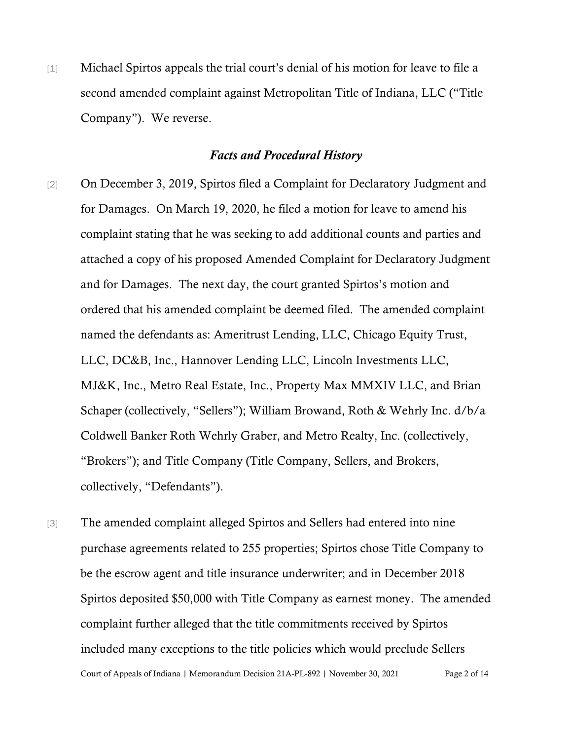[1] Michael Spirtos appeals the trial court's denial of his motion for leave to file a second amended complaint against Metropolitan Title of Indiana, LLC ("Title Company"). We reverse.

#### *Facts and Procedural History*

- [2] On December 3, 2019, Spirtos filed a Complaint for Declaratory Judgment and for Damages. On March 19, 2020, he filed a motion for leave to amend his complaint stating that he was seeking to add additional counts and parties and attached a copy of his proposed Amended Complaint for Declaratory Judgment and for Damages. The next day, the court granted Spirtos's motion and ordered that his amended complaint be deemed filed. The amended complaint named the defendants as: Ameritrust Lending, LLC, Chicago Equity Trust, LLC, DC&B, Inc., Hannover Lending LLC, Lincoln Investments LLC, MJ&K, Inc., Metro Real Estate, Inc., Property Max MMXIV LLC, and Brian Schaper (collectively, "Sellers"); William Browand, Roth & Wehrly Inc. d/b/a Coldwell Banker Roth Wehrly Graber, and Metro Realty, Inc. (collectively, "Brokers"); and Title Company (Title Company, Sellers, and Brokers, collectively, "Defendants").
- Court of Appeals of Indiana | Memorandum Decision 21A-PL-892 | November 30, 2021 Page 2 of 14 [3] The amended complaint alleged Spirtos and Sellers had entered into nine purchase agreements related to 255 properties; Spirtos chose Title Company to be the escrow agent and title insurance underwriter; and in December 2018 Spirtos deposited \$50,000 with Title Company as earnest money. The amended complaint further alleged that the title commitments received by Spirtos included many exceptions to the title policies which would preclude Sellers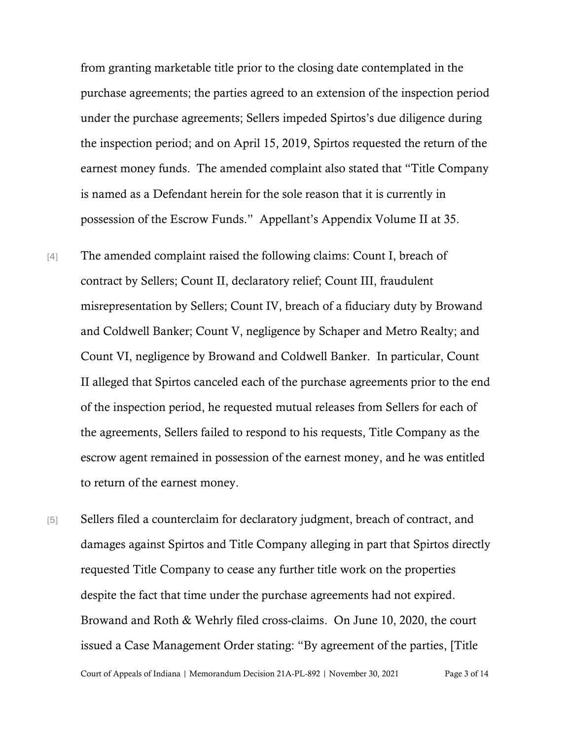from granting marketable title prior to the closing date contemplated in the purchase agreements; the parties agreed to an extension of the inspection period under the purchase agreements; Sellers impeded Spirtos's due diligence during the inspection period; and on April 15, 2019, Spirtos requested the return of the earnest money funds. The amended complaint also stated that "Title Company is named as a Defendant herein for the sole reason that it is currently in possession of the Escrow Funds." Appellant's Appendix Volume II at 35.

- [4] The amended complaint raised the following claims: Count I, breach of contract by Sellers; Count II, declaratory relief; Count III, fraudulent misrepresentation by Sellers; Count IV, breach of a fiduciary duty by Browand and Coldwell Banker; Count V, negligence by Schaper and Metro Realty; and Count VI, negligence by Browand and Coldwell Banker. In particular, Count II alleged that Spirtos canceled each of the purchase agreements prior to the end of the inspection period, he requested mutual releases from Sellers for each of the agreements, Sellers failed to respond to his requests, Title Company as the escrow agent remained in possession of the earnest money, and he was entitled to return of the earnest money.
- Court of Appeals of Indiana | Memorandum Decision 21A-PL-892 | November 30, 2021 Page 3 of 14 [5] Sellers filed a counterclaim for declaratory judgment, breach of contract, and damages against Spirtos and Title Company alleging in part that Spirtos directly requested Title Company to cease any further title work on the properties despite the fact that time under the purchase agreements had not expired. Browand and Roth & Wehrly filed cross-claims. On June 10, 2020, the court issued a Case Management Order stating: "By agreement of the parties, [Title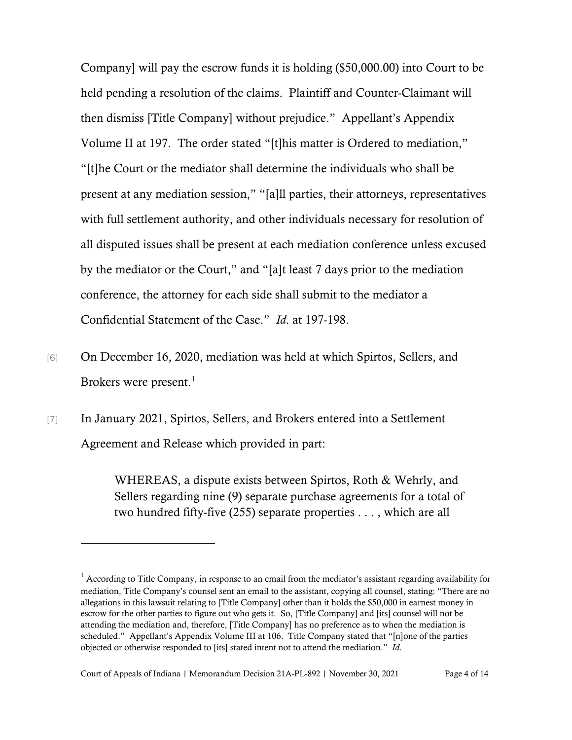Company] will pay the escrow funds it is holding (\$50,000.00) into Court to be held pending a resolution of the claims. Plaintiff and Counter-Claimant will then dismiss [Title Company] without prejudice." Appellant's Appendix Volume II at 197. The order stated "[t]his matter is Ordered to mediation," "[t]he Court or the mediator shall determine the individuals who shall be present at any mediation session," "[a]ll parties, their attorneys, representatives with full settlement authority, and other individuals necessary for resolution of all disputed issues shall be present at each mediation conference unless excused by the mediator or the Court," and "[a]t least 7 days prior to the mediation conference, the attorney for each side shall submit to the mediator a Confidential Statement of the Case." *Id*. at 197-198.

- [6] On December 16, 2020, mediation was held at which Spirtos, Sellers, and Brokers were present. [1](#page-3-0)
- [7] In January 2021, Spirtos, Sellers, and Brokers entered into a Settlement Agreement and Release which provided in part:

WHEREAS, a dispute exists between Spirtos, Roth & Wehrly, and Sellers regarding nine (9) separate purchase agreements for a total of two hundred fifty-five (255) separate properties . . . , which are all

<span id="page-3-0"></span><sup>&</sup>lt;sup>1</sup> According to Title Company, in response to an email from the mediator's assistant regarding availability for mediation, Title Company's counsel sent an email to the assistant, copying all counsel, stating: "There are no allegations in this lawsuit relating to [Title Company] other than it holds the \$50,000 in earnest money in escrow for the other parties to figure out who gets it. So, [Title Company] and [its] counsel will not be attending the mediation and, therefore, [Title Company] has no preference as to when the mediation is scheduled." Appellant's Appendix Volume III at 106. Title Company stated that "[n]one of the parties objected or otherwise responded to [its] stated intent not to attend the mediation." *Id*.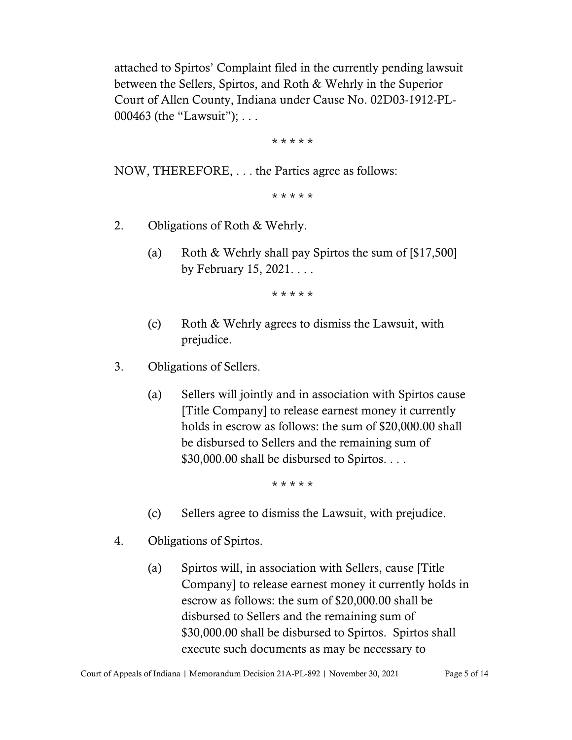attached to Spirtos' Complaint filed in the currently pending lawsuit between the Sellers, Spirtos, and Roth & Wehrly in the Superior Court of Allen County, Indiana under Cause No. 02D03-1912-PL-000463 (the "Lawsuit"); . . .

\* \* \* \* \*

NOW, THEREFORE, . . . the Parties agree as follows:

\* \* \* \* \*

- 2. Obligations of Roth & Wehrly.
	- (a) Roth & Wehrly shall pay Spirtos the sum of [\$17,500] by February 15, 2021. . . .

\* \* \* \* \*

- (c) Roth & Wehrly agrees to dismiss the Lawsuit, with prejudice.
- 3. Obligations of Sellers.
	- (a) Sellers will jointly and in association with Spirtos cause [Title Company] to release earnest money it currently holds in escrow as follows: the sum of \$20,000.00 shall be disbursed to Sellers and the remaining sum of \$30,000.00 shall be disbursed to Spirtos. . . .

\* \* \* \* \*

- (c) Sellers agree to dismiss the Lawsuit, with prejudice.
- 4. Obligations of Spirtos.
	- (a) Spirtos will, in association with Sellers, cause [Title Company] to release earnest money it currently holds in escrow as follows: the sum of \$20,000.00 shall be disbursed to Sellers and the remaining sum of \$30,000.00 shall be disbursed to Spirtos. Spirtos shall execute such documents as may be necessary to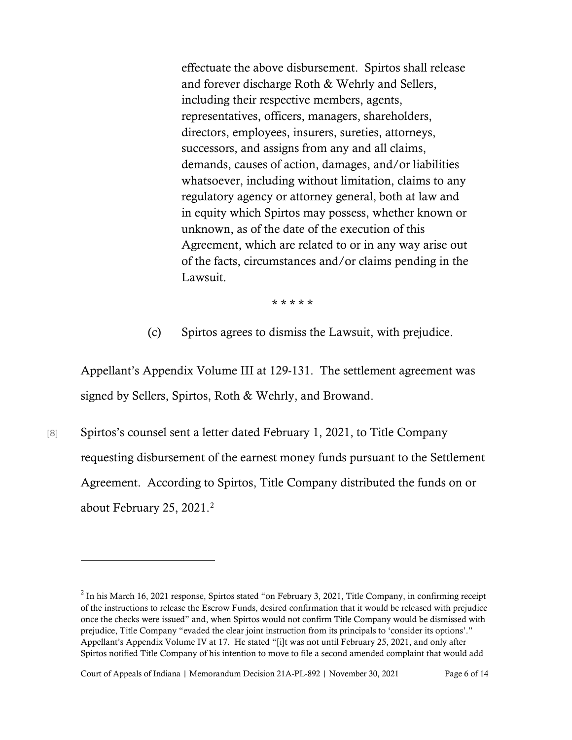effectuate the above disbursement. Spirtos shall release and forever discharge Roth & Wehrly and Sellers, including their respective members, agents, representatives, officers, managers, shareholders, directors, employees, insurers, sureties, attorneys, successors, and assigns from any and all claims, demands, causes of action, damages, and/or liabilities whatsoever, including without limitation, claims to any regulatory agency or attorney general, both at law and in equity which Spirtos may possess, whether known or unknown, as of the date of the execution of this Agreement, which are related to or in any way arise out of the facts, circumstances and/or claims pending in the Lawsuit.

\* \* \* \* \*

(c) Spirtos agrees to dismiss the Lawsuit, with prejudice.

Appellant's Appendix Volume III at 129-131. The settlement agreement was signed by Sellers, Spirtos, Roth & Wehrly, and Browand.

[8] Spirtos's counsel sent a letter dated February 1, 2021, to Title Company requesting disbursement of the earnest money funds pursuant to the Settlement Agreement. According to Spirtos, Title Company distributed the funds on or about February [2](#page-5-0)5, 2021. $^2$ 

Court of Appeals of Indiana | Memorandum Decision 21A-PL-892 | November 30, 2021 Page 6 of 14

<span id="page-5-0"></span> $2$  In his March 16, 2021 response, Spirtos stated "on February 3, 2021, Title Company, in confirming receipt of the instructions to release the Escrow Funds, desired confirmation that it would be released with prejudice once the checks were issued" and, when Spirtos would not confirm Title Company would be dismissed with prejudice, Title Company "evaded the clear joint instruction from its principals to 'consider its options'." Appellant's Appendix Volume IV at 17. He stated "[i]t was not until February 25, 2021, and only after Spirtos notified Title Company of his intention to move to file a second amended complaint that would add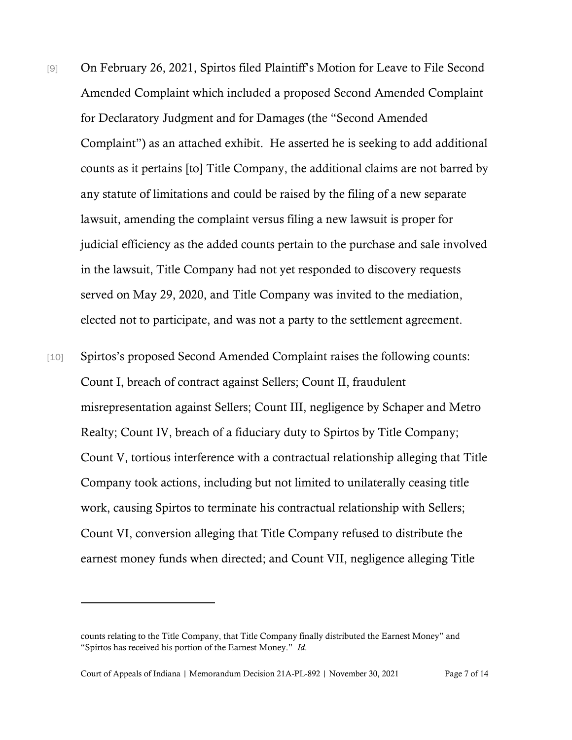- [9] On February 26, 2021, Spirtos filed Plaintiff's Motion for Leave to File Second Amended Complaint which included a proposed Second Amended Complaint for Declaratory Judgment and for Damages (the "Second Amended Complaint") as an attached exhibit. He asserted he is seeking to add additional counts as it pertains [to] Title Company, the additional claims are not barred by any statute of limitations and could be raised by the filing of a new separate lawsuit, amending the complaint versus filing a new lawsuit is proper for judicial efficiency as the added counts pertain to the purchase and sale involved in the lawsuit, Title Company had not yet responded to discovery requests served on May 29, 2020, and Title Company was invited to the mediation, elected not to participate, and was not a party to the settlement agreement.
- [10] Spirtos's proposed Second Amended Complaint raises the following counts: Count I, breach of contract against Sellers; Count II, fraudulent misrepresentation against Sellers; Count III, negligence by Schaper and Metro Realty; Count IV, breach of a fiduciary duty to Spirtos by Title Company; Count V, tortious interference with a contractual relationship alleging that Title Company took actions, including but not limited to unilaterally ceasing title work, causing Spirtos to terminate his contractual relationship with Sellers; Count VI, conversion alleging that Title Company refused to distribute the earnest money funds when directed; and Count VII, negligence alleging Title

counts relating to the Title Company, that Title Company finally distributed the Earnest Money" and "Spirtos has received his portion of the Earnest Money." *Id*.

Court of Appeals of Indiana | Memorandum Decision 21A-PL-892 | November 30, 2021 Page 7 of 14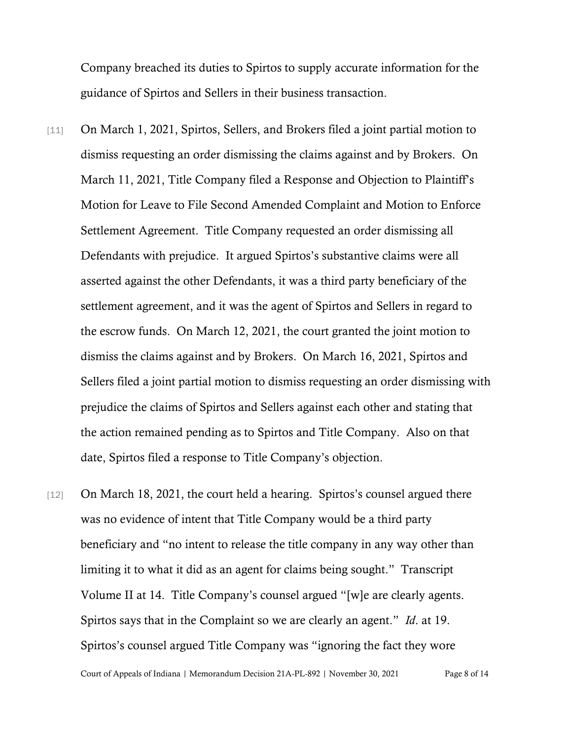Company breached its duties to Spirtos to supply accurate information for the guidance of Spirtos and Sellers in their business transaction.

- [11] On March 1, 2021, Spirtos, Sellers, and Brokers filed a joint partial motion to dismiss requesting an order dismissing the claims against and by Brokers. On March 11, 2021, Title Company filed a Response and Objection to Plaintiff's Motion for Leave to File Second Amended Complaint and Motion to Enforce Settlement Agreement. Title Company requested an order dismissing all Defendants with prejudice. It argued Spirtos's substantive claims were all asserted against the other Defendants, it was a third party beneficiary of the settlement agreement, and it was the agent of Spirtos and Sellers in regard to the escrow funds. On March 12, 2021, the court granted the joint motion to dismiss the claims against and by Brokers. On March 16, 2021, Spirtos and Sellers filed a joint partial motion to dismiss requesting an order dismissing with prejudice the claims of Spirtos and Sellers against each other and stating that the action remained pending as to Spirtos and Title Company. Also on that date, Spirtos filed a response to Title Company's objection.
- [12] On March 18, 2021, the court held a hearing. Spirtos's counsel argued there was no evidence of intent that Title Company would be a third party beneficiary and "no intent to release the title company in any way other than limiting it to what it did as an agent for claims being sought." Transcript Volume II at 14. Title Company's counsel argued "[w]e are clearly agents. Spirtos says that in the Complaint so we are clearly an agent." *Id*. at 19. Spirtos's counsel argued Title Company was "ignoring the fact they wore

Court of Appeals of Indiana | Memorandum Decision 21A-PL-892 | November 30, 2021 Page 8 of 14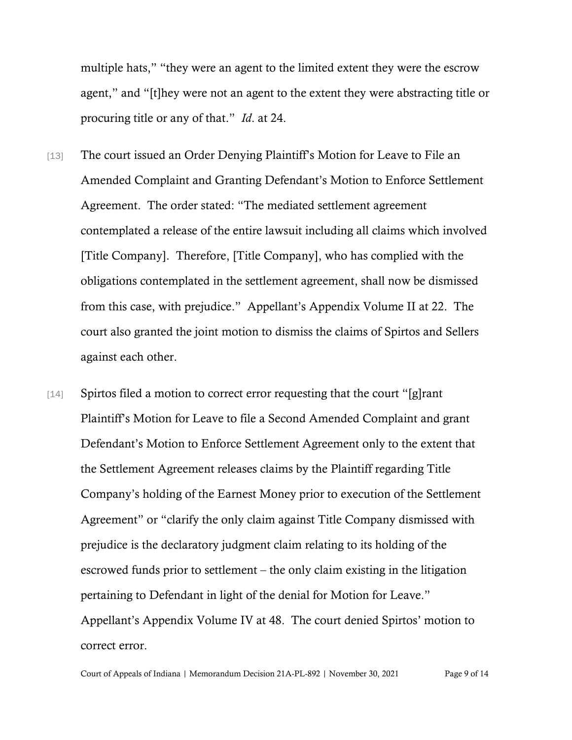multiple hats," "they were an agent to the limited extent they were the escrow agent," and "[t]hey were not an agent to the extent they were abstracting title or procuring title or any of that." *Id*. at 24.

- [13] The court issued an Order Denying Plaintiff's Motion for Leave to File an Amended Complaint and Granting Defendant's Motion to Enforce Settlement Agreement. The order stated: "The mediated settlement agreement contemplated a release of the entire lawsuit including all claims which involved [Title Company]. Therefore, [Title Company], who has complied with the obligations contemplated in the settlement agreement, shall now be dismissed from this case, with prejudice." Appellant's Appendix Volume II at 22. The court also granted the joint motion to dismiss the claims of Spirtos and Sellers against each other.
- [14] Spirtos filed a motion to correct error requesting that the court "[g]rant Plaintiff's Motion for Leave to file a Second Amended Complaint and grant Defendant's Motion to Enforce Settlement Agreement only to the extent that the Settlement Agreement releases claims by the Plaintiff regarding Title Company's holding of the Earnest Money prior to execution of the Settlement Agreement" or "clarify the only claim against Title Company dismissed with prejudice is the declaratory judgment claim relating to its holding of the escrowed funds prior to settlement – the only claim existing in the litigation pertaining to Defendant in light of the denial for Motion for Leave." Appellant's Appendix Volume IV at 48. The court denied Spirtos' motion to correct error.

Court of Appeals of Indiana | Memorandum Decision 21A-PL-892 | November 30, 2021 Page 9 of 14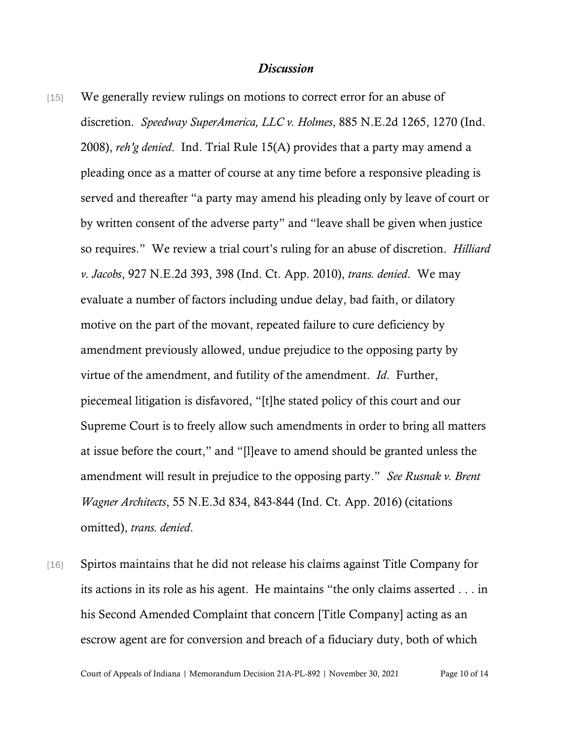## *Discussion*

- [15] We generally review rulings on motions to correct error for an abuse of discretion. *Speedway SuperAmerica, LLC v. Holmes*, 885 N.E.2d 1265, 1270 (Ind. 2008), *reh'g denied*. Ind. Trial Rule 15(A) provides that a party may amend a pleading once as a matter of course at any time before a responsive pleading is served and thereafter "a party may amend his pleading only by leave of court or by written consent of the adverse party" and "leave shall be given when justice so requires." We review a trial court's ruling for an abuse of discretion. *Hilliard v. Jacobs*, 927 N.E.2d 393, 398 (Ind. Ct. App. 2010), *trans. denied*. We may evaluate a number of factors including undue delay, bad faith, or dilatory motive on the part of the movant, repeated failure to cure deficiency by amendment previously allowed, undue prejudice to the opposing party by virtue of the amendment, and futility of the amendment. *Id*. Further, piecemeal litigation is disfavored, "[t]he stated policy of this court and our Supreme Court is to freely allow such amendments in order to bring all matters at issue before the court," and "[l]eave to amend should be granted unless the amendment will result in prejudice to the opposing party." *See Rusnak v. Brent Wagner Architects*, 55 N.E.3d 834, 843-844 (Ind. Ct. App. 2016) (citations omitted), *trans. denied*.
- [16] Spirtos maintains that he did not release his claims against Title Company for its actions in its role as his agent. He maintains "the only claims asserted . . . in his Second Amended Complaint that concern [Title Company] acting as an escrow agent are for conversion and breach of a fiduciary duty, both of which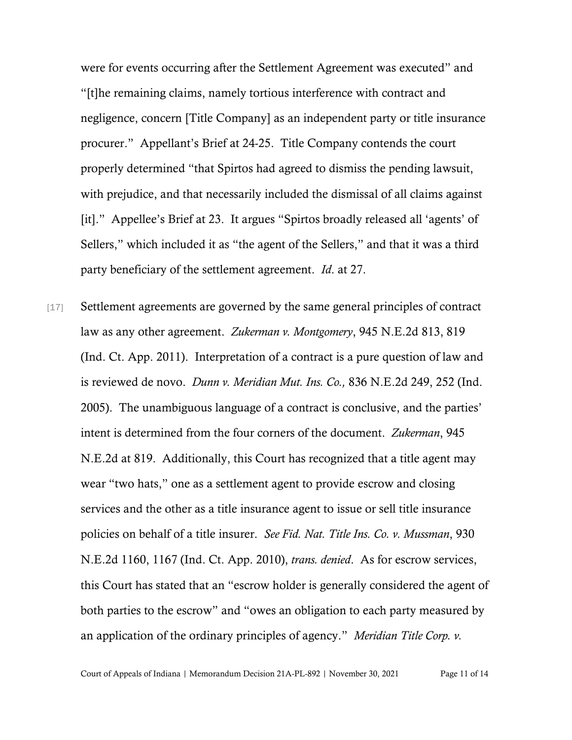were for events occurring after the Settlement Agreement was executed" and "[t]he remaining claims, namely tortious interference with contract and negligence, concern [Title Company] as an independent party or title insurance procurer." Appellant's Brief at 24-25. Title Company contends the court properly determined "that Spirtos had agreed to dismiss the pending lawsuit, with prejudice, and that necessarily included the dismissal of all claims against [it]." Appellee's Brief at 23. It argues "Spirtos broadly released all 'agents' of Sellers," which included it as "the agent of the Sellers," and that it was a third party beneficiary of the settlement agreement. *Id*. at 27.

[17] Settlement agreements are governed by the same general principles of contract law as any other agreement. *Zukerman v. Montgomery*, 945 N.E.2d 813, 819 (Ind. Ct. App. 2011). Interpretation of a contract is a pure question of law and is reviewed de novo. *Dunn v. Meridian Mut. Ins. Co.,* 836 N.E.2d 249, 252 (Ind. 2005). The unambiguous language of a contract is conclusive, and the parties' intent is determined from the four corners of the document. *Zukerman*, 945 N.E.2d at 819. Additionally, this Court has recognized that a title agent may wear "two hats," one as a settlement agent to provide escrow and closing services and the other as a title insurance agent to issue or sell title insurance policies on behalf of a title insurer. *See Fid. Nat. Title Ins. Co. v. Mussman*, 930 N.E.2d 1160, 1167 (Ind. Ct. App. 2010), *trans. denied*. As for escrow services, this Court has stated that an "escrow holder is generally considered the agent of both parties to the escrow" and "owes an obligation to each party measured by an application of the ordinary principles of agency." *Meridian Title Corp. v.*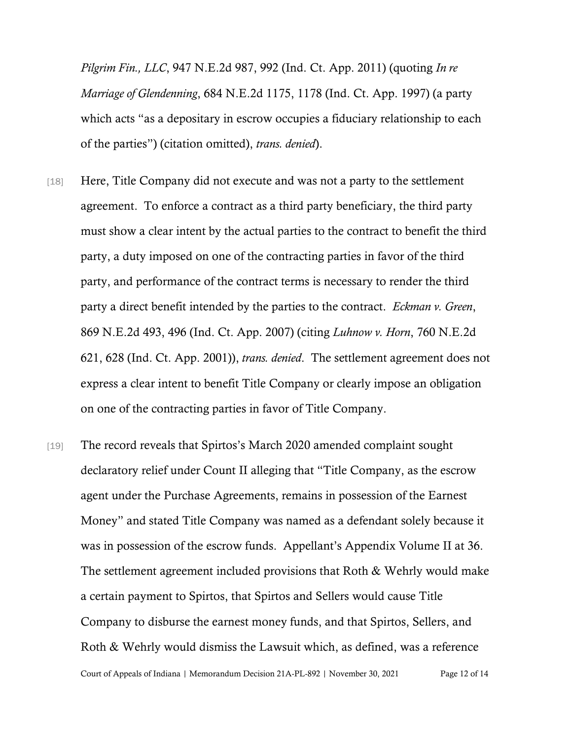*Pilgrim Fin., LLC*, 947 N.E.2d 987, 992 (Ind. Ct. App. 2011) (quoting *In re Marriage of Glendenning*, 684 N.E.2d 1175, 1178 (Ind. Ct. App. 1997) (a party which acts "as a depositary in escrow occupies a fiduciary relationship to each of the parties") (citation omitted), *trans. denied*).

- [18] Here, Title Company did not execute and was not a party to the settlement agreement. To enforce a contract as a third party beneficiary, the third party must show a clear intent by the actual parties to the contract to benefit the third party, a duty imposed on one of the contracting parties in favor of the third party, and performance of the contract terms is necessary to render the third party a direct benefit intended by the parties to the contract. *Eckman v. Green*, 869 N.E.2d 493, 496 (Ind. Ct. App. 2007) (citing *Luhnow v. Horn*, 760 N.E.2d 621, 628 (Ind. Ct. App. 2001)), *trans. denied*. The settlement agreement does not express a clear intent to benefit Title Company or clearly impose an obligation on one of the contracting parties in favor of Title Company.
- Court of Appeals of Indiana | Memorandum Decision 21A-PL-892 | November 30, 2021 Page 12 of 14 [19] The record reveals that Spirtos's March 2020 amended complaint sought declaratory relief under Count II alleging that "Title Company, as the escrow agent under the Purchase Agreements, remains in possession of the Earnest Money" and stated Title Company was named as a defendant solely because it was in possession of the escrow funds. Appellant's Appendix Volume II at 36. The settlement agreement included provisions that Roth & Wehrly would make a certain payment to Spirtos, that Spirtos and Sellers would cause Title Company to disburse the earnest money funds, and that Spirtos, Sellers, and Roth & Wehrly would dismiss the Lawsuit which, as defined, was a reference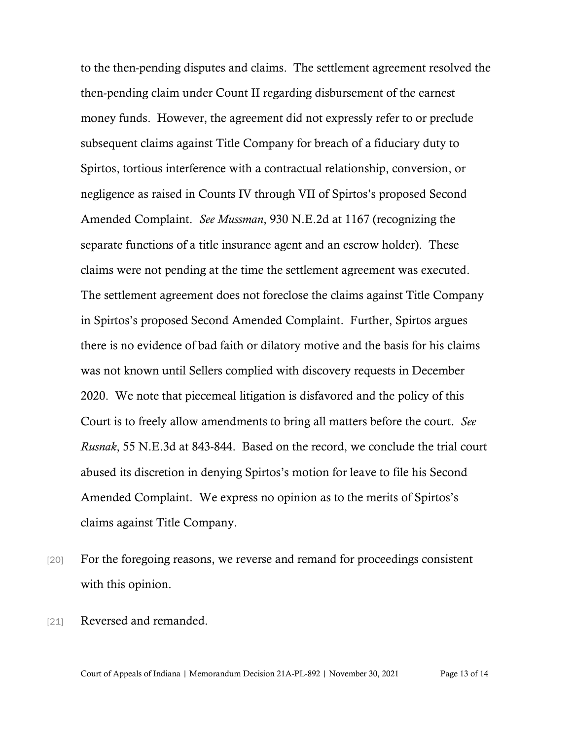to the then-pending disputes and claims. The settlement agreement resolved the then-pending claim under Count II regarding disbursement of the earnest money funds. However, the agreement did not expressly refer to or preclude subsequent claims against Title Company for breach of a fiduciary duty to Spirtos, tortious interference with a contractual relationship, conversion, or negligence as raised in Counts IV through VII of Spirtos's proposed Second Amended Complaint. *See Mussman*, 930 N.E.2d at 1167 (recognizing the separate functions of a title insurance agent and an escrow holder). These claims were not pending at the time the settlement agreement was executed. The settlement agreement does not foreclose the claims against Title Company in Spirtos's proposed Second Amended Complaint. Further, Spirtos argues there is no evidence of bad faith or dilatory motive and the basis for his claims was not known until Sellers complied with discovery requests in December 2020. We note that piecemeal litigation is disfavored and the policy of this Court is to freely allow amendments to bring all matters before the court. *See Rusnak*, 55 N.E.3d at 843-844. Based on the record, we conclude the trial court abused its discretion in denying Spirtos's motion for leave to file his Second Amended Complaint. We express no opinion as to the merits of Spirtos's claims against Title Company.

- [20] For the foregoing reasons, we reverse and remand for proceedings consistent with this opinion.
- [21] Reversed and remanded.